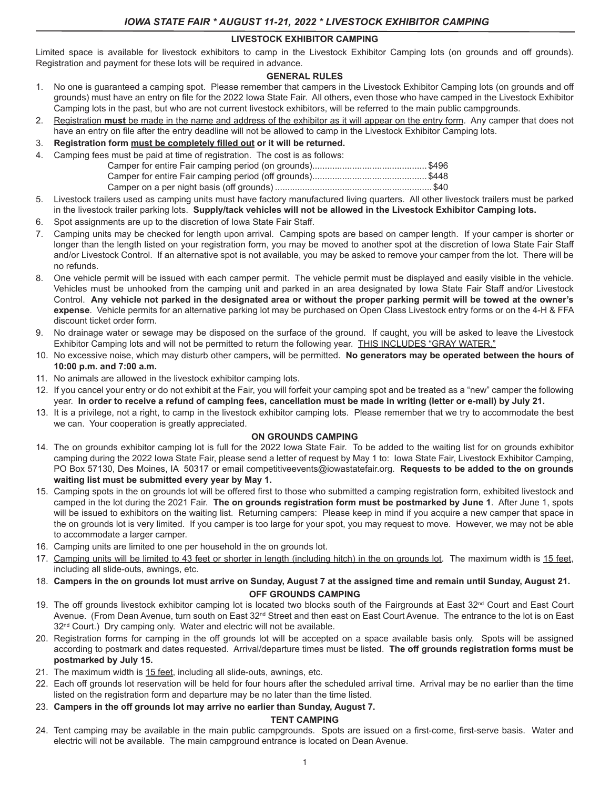## **LIVESTOCK EXHIBITOR CAMPING**

Limited space is available for livestock exhibitors to camp in the Livestock Exhibitor Camping lots (on grounds and off grounds). Registration and payment for these lots will be required in advance.

## **GENERAL RULES**

- 1. No one is guaranteed a camping spot. Please remember that campers in the Livestock Exhibitor Camping lots (on grounds and off grounds) must have an entry on file for the 2022 Iowa State Fair. All others, even those who have camped in the Livestock Exhibitor Camping lots in the past, but who are not current livestock exhibitors, will be referred to the main public campgrounds.
- 2. Registration **must** be made in the name and address of the exhibitor as it will appear on the entry form. Any camper that does not have an entry on file after the entry deadline will not be allowed to camp in the Livestock Exhibitor Camping lots.
- 3. **Registration form must be completely filled out or it will be returned.**
- 4. Camping fees must be paid at time of registration. The cost is as follows:

- 5. Livestock trailers used as camping units must have factory manufactured living quarters. All other livestock trailers must be parked in the livestock trailer parking lots. **Supply/tack vehicles will not be allowed in the Livestock Exhibitor Camping lots.**
- 6. Spot assignments are up to the discretion of Iowa State Fair Staff.
- 7. Camping units may be checked for length upon arrival. Camping spots are based on camper length. If your camper is shorter or longer than the length listed on your registration form, you may be moved to another spot at the discretion of Iowa State Fair Staff and/or Livestock Control. If an alternative spot is not available, you may be asked to remove your camper from the lot. There will be no refunds.
- 8. One vehicle permit will be issued with each camper permit. The vehicle permit must be displayed and easily visible in the vehicle. Vehicles must be unhooked from the camping unit and parked in an area designated by Iowa State Fair Staff and/or Livestock Control. **Any vehicle not parked in the designated area or without the proper parking permit will be towed at the owner's expense**. Vehicle permits for an alternative parking lot may be purchased on Open Class Livestock entry forms or on the 4-H & FFA discount ticket order form.
- 9. No drainage water or sewage may be disposed on the surface of the ground. If caught, you will be asked to leave the Livestock Exhibitor Camping lots and will not be permitted to return the following year. THIS INCLUDES "GRAY WATER."
- 10. No excessive noise, which may disturb other campers, will be permitted. **No generators may be operated between the hours of 10:00 p.m. and 7:00 a.m.**
- 11. No animals are allowed in the livestock exhibitor camping lots.
- 12. If you cancel your entry or do not exhibit at the Fair, you will forfeit your camping spot and be treated as a "new" camper the following year. **In order to receive a refund of camping fees, cancellation must be made in writing (letter or e-mail) by July 21.**
- 13. It is a privilege, not a right, to camp in the livestock exhibitor camping lots. Please remember that we try to accommodate the best we can. Your cooperation is greatly appreciated.

#### **ON GROUNDS CAMPING**

- 14. The on grounds exhibitor camping lot is full for the 2022 Iowa State Fair. To be added to the waiting list for on grounds exhibitor camping during the 2022 Iowa State Fair, please send a letter of request by May 1 to: Iowa State Fair, Livestock Exhibitor Camping, PO Box 57130, Des Moines, IA 50317 or email competitiveevents@iowastatefair.org. **Requests to be added to the on grounds waiting list must be submitted every year by May 1.**
- 15. Camping spots in the on grounds lot will be offered first to those who submitted a camping registration form, exhibited livestock and camped in the lot during the 2021 Fair. **The on grounds registration form must be postmarked by June 1**. After June 1, spots will be issued to exhibitors on the waiting list. Returning campers: Please keep in mind if you acquire a new camper that space in the on grounds lot is very limited. If you camper is too large for your spot, you may request to move. However, we may not be able to accommodate a larger camper.
- 16. Camping units are limited to one per household in the on grounds lot.
- 17. Camping units will be limited to 43 feet or shorter in length (including hitch) in the on grounds lot. The maximum width is 15 feet, including all slide-outs, awnings, etc.
- 18. **Campers in the on grounds lot must arrive on Sunday, August 7 at the assigned time and remain until Sunday, August 21. OFF GROUNDS CAMPING**
- 19. The off grounds livestock exhibitor camping lot is located two blocks south of the Fairgrounds at East  $32<sup>nd</sup>$  Court and East Court Avenue. (From Dean Avenue, turn south on East 32<sup>nd</sup> Street and then east on East Court Avenue. The entrance to the lot is on East 32<sup>nd</sup> Court.) Dry camping only. Water and electric will not be available.
- 20. Registration forms for camping in the off grounds lot will be accepted on a space available basis only. Spots will be assigned according to postmark and dates requested. Arrival/departure times must be listed. **The off grounds registration forms must be postmarked by July 15.**
- 21. The maximum width is 15 feet, including all slide-outs, awnings, etc.
- 22. Each off grounds lot reservation will be held for four hours after the scheduled arrival time. Arrival may be no earlier than the time listed on the registration form and departure may be no later than the time listed.
- 23. **Campers in the off grounds lot may arrive no earlier than Sunday, August 7.**

## **TENT CAMPING**

24. Tent camping may be available in the main public campgrounds. Spots are issued on a first-come, first-serve basis. Water and electric will not be available. The main campground entrance is located on Dean Avenue.